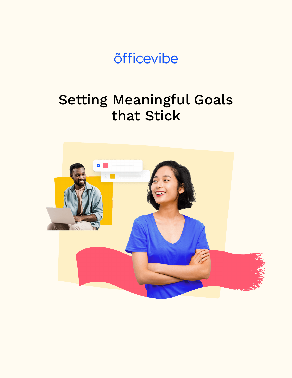# õfficevibe

# Setting Meaningful Goals that Stick

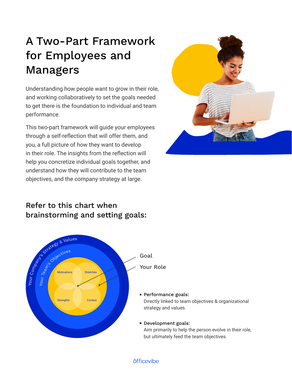## A Two-Part Framework for Employees and Managers

Understanding how people want to grow in their role, and working collaboratively to set the goals needed to get there is the foundation to individual and team performance.

This two-part framework will guide your employees through a self-reflection that will offer them, and you, a full picture of how they want to develop in their role. The insights from the reflection will help you concretize individual goals together, and understand how they will contribute to the team objectives, and the company strategy at large.



## Refer to this chart when brainstorming and setting goals:



#### õfficevibe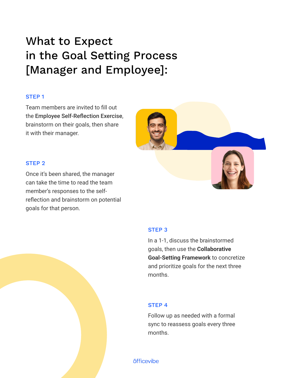## What to Expect in the Goal Setting Process [Manager and Employee]:

### STEP 1

Team members are invited to fill out the Employee Self-Reflection Exercise, brainstorm on their goals, then share it with their manager.

#### STEP 2

Once it's been shared, the manager can take the time to read the team member's responses to the selfreflection and brainstorm on potential goals for that person.



#### STEP 3

In a 1-1, discuss the brainstormed goals, then use the **Collaborative Goal-Setting Framework** to concretize and prioritize goals for the next three months.

#### STEP 4

Follow up as needed with a formal sync to reassess goals every three months.

õfficevibe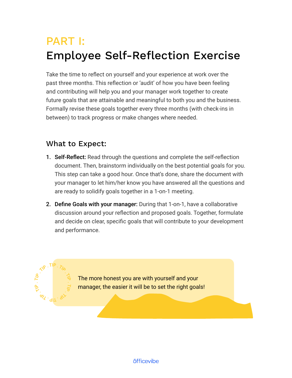# PART I: Employee Self-Reflection Exercise

Take the time to reflect on yourself and your experience at work over the past three months. This reflection or 'audit' of how you have been feeling and contributing will help you and your manager work together to create future goals that are attainable and meaningful to both you and the business. Formally revise these goals together every three months (with check-ins in between) to track progress or make changes where needed.

### What to Expect:

- **1. Self-Reflect:** Read through the questions and complete the self-reflection document. Then, brainstorm individually on the best potential goals for you. This step can take a good hour. Once that's done, share the document with your manager to let him/her know you have answered all the questions and are ready to solidify goals together in a 1-on-1 meeting.
- 2. Define Goals with your manager: During that 1-on-1, have a collaborative discussion around your reflection and proposed goals. Together, formulate and decide on clear, specific goals that will contribute to your development and performance.

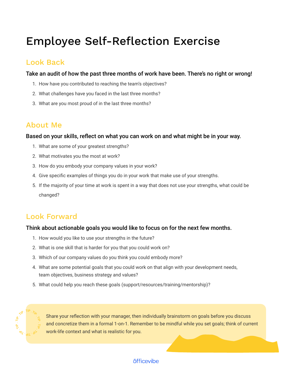## Employee Self-Reflection Exercise

## Look Back

Take an audit of how the past three months of work have been. There's no right or wrong!

- 1. How have you contributed to reaching the team's objectives?
- 2. What challenges have you faced in the last three months?
- 3. What are you most proud of in the last three months?

## About Me

#### Based on your skills, reflect on what you can work on and what might be in your way.

- 1. What are some of your greatest strengths?
- 2. What motivates you the most at work?
- 3. How do you embody your company values in your work?
- 4. Give specific examples of things you do in your work that make use of your strengths.
- 5. If the majority of your time at work is spent in a way that does not use your strengths, what could be changed?

### Look Forward

### Think about actionable goals you would like to focus on for the next few months.

- 1. How would you like to use your strengths in the future?
- 2. What is one skill that is harder for you that you could work on?
- 3. Which of our company values do you think you could embody more?
- 4. What are some potential goals that you could work on that align with your development needs, team objectives, business strategy and values?
- 5. What could help you reach these goals (support/resources/training/mentorship)?



Share your reflection with your manager, then individually brainstorm on goals before you discuss and concretize them in a formal 1-on-1. Remember to be mindful while you set goals; think of current work-life context and what is realistic for you.

### õfficevibe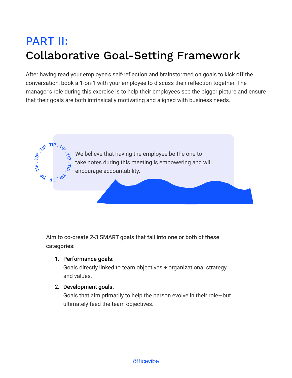# PART II: Collaborative Goal-Setting Framework

After having read your employee's self-reflection and brainstormed on goals to kick off the conversation, book a 1-on-1 with your employee to discuss their reflection together. The manager's role during this exercise is to help their employees see the bigger picture and ensure that their goals are both intrinsically motivating and aligned with business needs.



Aim to co-create 2-3 SMART goals that fall into one or both of these categories:

### 1. Performance goals:

Goals directly linked to team objectives + organizational strategy and values.

### 2. Development goals:

Goals that aim primarily to help the person evolve in their role—but ultimately feed the team objectives.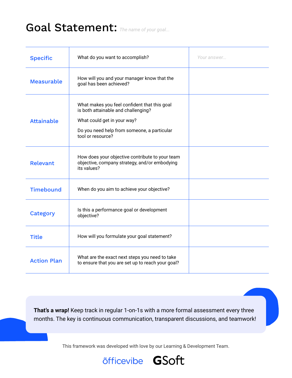## Goal Statement: *The name of your goal...*

| <b>Specific</b>    | What do you want to accomplish?                                                                                                                                                        | Your answer |
|--------------------|----------------------------------------------------------------------------------------------------------------------------------------------------------------------------------------|-------------|
| <b>Measurable</b>  | How will you and your manager know that the<br>goal has been achieved?                                                                                                                 |             |
| <b>Attainable</b>  | What makes you feel confident that this goal<br>is both attainable and challenging?<br>What could get in your way?<br>Do you need help from someone, a particular<br>tool or resource? |             |
| Relevant           | How does your objective contribute to your team<br>objective, company strategy, and/or embodying<br>its values?                                                                        |             |
| <b>Timebound</b>   | When do you aim to achieve your objective?                                                                                                                                             |             |
| <b>Category</b>    | Is this a performance goal or development<br>objective?                                                                                                                                |             |
| <b>Title</b>       | How will you formulate your goal statement?                                                                                                                                            |             |
| <b>Action Plan</b> | What are the exact next steps you need to take<br>to ensure that you are set up to reach your goal?                                                                                    |             |

**That's a wrap!** Keep track in regular 1-on-1s with a more formal assessment every three months. The key is continuous communication, transparent discussions, and teamwork!

This framework was developed with love by our Learning & Development Team.